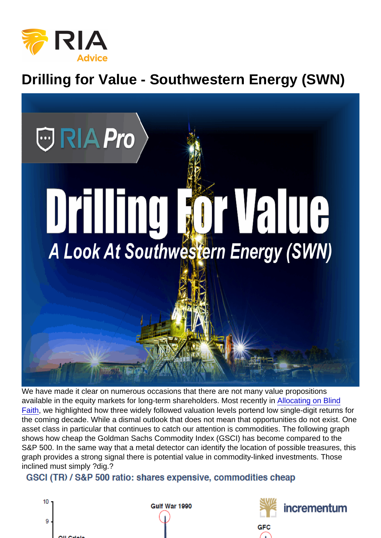# Drilling for Value - Southwestern Energy (SWN)

We have made it clear on numerous occasions that there are not many value propositions available in the equity markets for long-term shareholders. Most recently in [Allocating on Blind](https://realinvestmentadvice.com/allocating-on-blind-faith-ria-pro/) [Faith,](https://realinvestmentadvice.com/allocating-on-blind-faith-ria-pro/) we highlighted how three widely followed valuation levels portend low single-digit returns for the coming decade. While a dismal outlook that does not mean that opportunities do not exist. One asset class in particular that continues to catch our attention is commodities. The following graph shows how cheap the Goldman Sachs Commodity Index (GSCI) has become compared to the S&P 500. In the same way that a metal detector can identify the location of possible treasures, this graph provides a strong signal there is potential value in commodity-linked investments. Those inclined must simply ?dig.?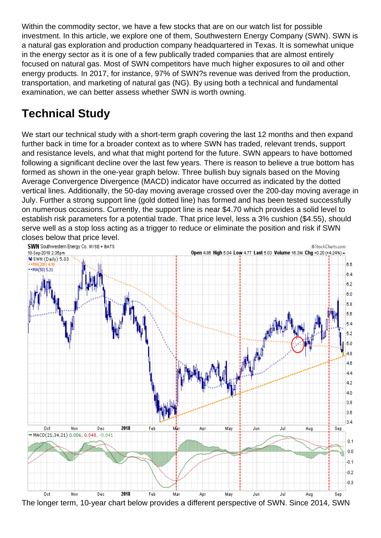Within the commodity sector, we have a few stocks that are on our watch list for possible investment. In this article, we explore one of them, Southwestern Energy Company (SWN). SWN is a natural gas exploration and production company headquartered in Texas. It is somewhat unique in the energy sector as it is one of a few publically traded companies that are almost entirely focused on natural gas. Most of SWN competitors have much higher exposures to oil and other energy products. In 2017, for instance, 97% of SWN?s revenue was derived from the production, transportation, and marketing of natural gas (NG). By using both a technical and fundamental examination, we can better assess whether SWN is worth owning.

## Technical Study

We start our technical study with a short-term graph covering the last 12 months and then expand further back in time for a broader context as to where SWN has traded, relevant trends, support and resistance levels, and what that might portend for the future. SWN appears to have bottomed following a significant decline over the last few years. There is reason to believe a true bottom has formed as shown in the one-year graph below. Three bullish buy signals based on the Moving Average Convergence Divergence (MACD) indicator have occurred as indicated by the dotted vertical lines. Additionally, the 50-day moving average crossed over the 200-day moving average in July. Further a strong support line (gold dotted line) has formed and has been tested successfully on numerous occasions. Currently, the support line is near \$4.70 which provides a solid level to establish risk parameters for a potential trade. That price level, less a 3% cushion (\$4.55), should serve well as a stop loss acting as a trigger to reduce or eliminate the position and risk if SWN closes below that price level.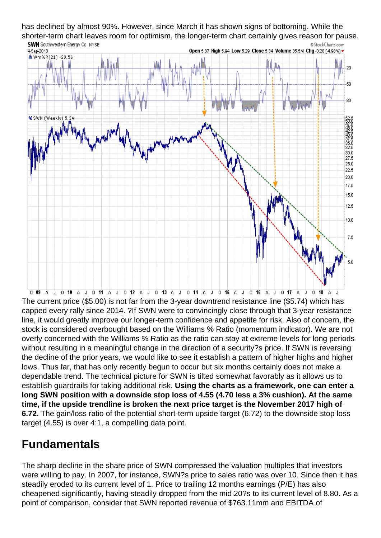has declined by almost 90%. However, since March it has shown signs of bottoming. While the shorter-term chart leaves room for optimism, the longer-term chart certainly gives reason for pause.

The current price (\$5.00) is not far from the 3-year downtrend resistance line (\$5.74) which has capped every rally since 2014. ?If SWN were to convincingly close through that 3-year resistance line, it would greatly improve our longer-term confidence and appetite for risk. Also of concern, the stock is considered overbought based on the Williams % Ratio (momentum indicator). We are not overly concerned with the Williams % Ratio as the ratio can stay at extreme levels for long periods without resulting in a meaningful change in the direction of a security?s price. If SWN is reversing the decline of the prior years, we would like to see it establish a pattern of higher highs and higher lows. Thus far, that has only recently begun to occur but six months certainly does not make a dependable trend. The technical picture for SWN is tilted somewhat favorably as it allows us to establish guardrails for taking additional risk. Using the charts as a framework, one can enter a long SWN position with a downside stop loss of 4.55 (4.70 less a 3% cushion). At the same time, if the upside trendline is broken the next price target is the November 2017 high of 6.72. The gain/loss ratio of the potential short-term upside target (6.72) to the downside stop loss target (4.55) is over 4:1, a compelling data point.

### Fundamentals

The sharp decline in the share price of SWN compressed the valuation multiples that investors were willing to pay. In 2007, for instance, SWN?s price to sales ratio was over 10. Since then it has steadily eroded to its current level of 1. Price to trailing 12 months earnings (P/E) has also cheapened significantly, having steadily dropped from the mid 20?s to its current level of 8.80. As a point of comparison, consider that SWN reported revenue of \$763.11mm and EBITDA of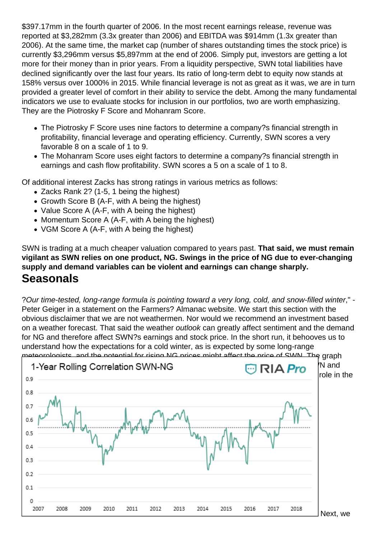\$397.17mm in the fourth quarter of 2006. In the most recent earnings release, revenue was reported at \$3,282mm (3.3x greater than 2006) and EBITDA was \$914mm (1.3x greater than 2006). At the same time, the market cap (number of shares outstanding times the stock price) is currently \$3,296mm versus \$5,897mm at the end of 2006. Simply put, investors are getting a lot more for their money than in prior years. From a liquidity perspective, SWN total liabilities have declined significantly over the last four years. Its ratio of long-term debt to equity now stands at 158% versus over 1000% in 2015. While financial leverage is not as great as it was, we are in turn provided a greater level of comfort in their ability to service the debt. Among the many fundamental indicators we use to evaluate stocks for inclusion in our portfolios, two are worth emphasizing. They are the Piotrosky F Score and Mohanram Score.

- The Piotrosky F Score uses nine factors to determine a company?s financial strength in profitability, financial leverage and operating efficiency. Currently, SWN scores a very favorable 8 on a scale of 1 to 9.
- The Mohanram Score uses eight factors to determine a company?s financial strength in earnings and cash flow profitability. SWN scores a 5 on a scale of 1 to 8.

Of additional interest Zacks has strong ratings in various metrics as follows:

- Zacks Rank 2? (1-5, 1 being the highest)
- Growth Score B (A-F, with A being the highest)
- Value Score A (A-F, with A being the highest)
- Momentum Score A (A-F, with A being the highest)
- VGM Score A (A-F, with A being the highest)

SWN is trading at a much cheaper valuation compared to years past. That said, we must remain vigilant as SWN relies on one product, NG. Swings in the price of NG due to ever-changing supply and demand variables can be violent and earnings can change sharply.

#### **Seasonals**

?Our time-tested, long-range formula is pointing toward a very long, cold, and snow-filled winter," - Peter Geiger in a statement on the Farmers? Almanac website. We start this section with the obvious disclaimer that we are not weathermen. Nor would we recommend an investment based on a weather forecast. That said the weather outlook can greatly affect sentiment and the demand for NG and therefore affect SWN?s earnings and stock price. In the short run, it behooves us to understand how the expectations for a cold winter, as is expected by some long-range meteorologists, and the potential for rising NG prices might affect the price of SWN. The graph [below shows a significant one-year rolling correlation between the prices of NG and SW](https://realinvestmentadvice.com/wp-content/uploads/2018/09/4-correl.png)N and therefore short-term holders should consider that weather could easily play an outsized role in the pricing of SWN.